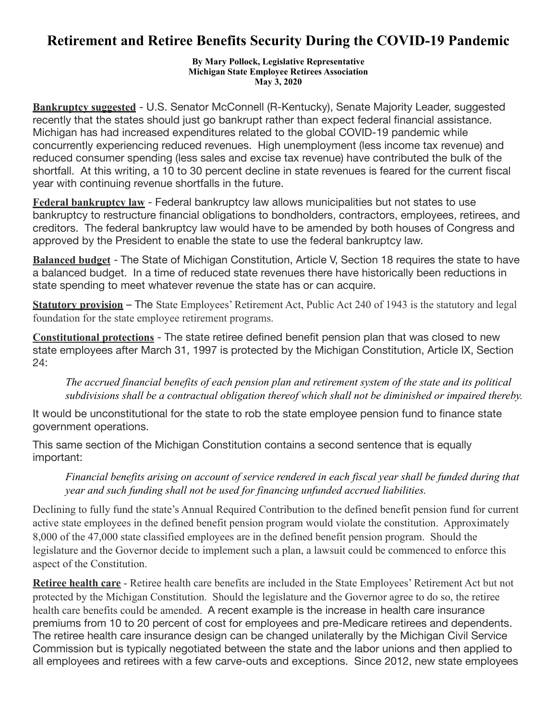## **Retirement and Retiree Benefits Security During the COVID-19 Pandemic**

**By Mary Pollock, Legislative Representative Michigan State Employee Retirees Association May 3, 2020** 

**Bankruptcy suggested** - U.S. Senator McConnell (R-Kentucky), Senate Majority Leader, suggested recently that the states should just go bankrupt rather than expect federal financial assistance. Michigan has had increased expenditures related to the global COVID-19 pandemic while concurrently experiencing reduced revenues. High unemployment (less income tax revenue) and reduced consumer spending (less sales and excise tax revenue) have contributed the bulk of the shortfall. At this writing, a 10 to 30 percent decline in state revenues is feared for the current fiscal year with continuing revenue shortfalls in the future.

**Federal bankruptcy law** - Federal bankruptcy law allows municipalities but not states to use bankruptcy to restructure financial obligations to bondholders, contractors, employees, retirees, and creditors. The federal bankruptcy law would have to be amended by both houses of Congress and approved by the President to enable the state to use the federal bankruptcy law.

**Balanced budget** - The State of Michigan Constitution, Article V, Section 18 requires the state to have a balanced budget. In a time of reduced state revenues there have historically been reductions in state spending to meet whatever revenue the state has or can acquire.

**Statutory provision** – The State Employees' Retirement Act, Public Act 240 of 1943 is the statutory and legal foundation for the state employee retirement programs.

**Constitutional protections** - The state retiree defined benefit pension plan that was closed to new state employees after March 31, 1997 is protected by the Michigan Constitution, Article IX, Section 24:

*The accrued financial benefits of each pension plan and retirement system of the state and its political subdivisions shall be a contractual obligation thereof which shall not be diminished or impaired thereby.* 

It would be unconstitutional for the state to rob the state employee pension fund to finance state government operations.

This same section of the Michigan Constitution contains a second sentence that is equally important:

## *Financial benefits arising on account of service rendered in each fiscal year shall be funded during that year and such funding shall not be used for financing unfunded accrued liabilities.*

Declining to fully fund the state's Annual Required Contribution to the defined benefit pension fund for current active state employees in the defined benefit pension program would violate the constitution. Approximately 8,000 of the 47,000 state classified employees are in the defined benefit pension program. Should the legislature and the Governor decide to implement such a plan, a lawsuit could be commenced to enforce this aspect of the Constitution.

**Retiree health care** - Retiree health care benefits are included in the State Employees' Retirement Act but not protected by the Michigan Constitution. Should the legislature and the Governor agree to do so, the retiree health care benefits could be amended. A recent example is the increase in health care insurance premiums from 10 to 20 percent of cost for employees and pre-Medicare retirees and dependents. The retiree health care insurance design can be changed unilaterally by the Michigan Civil Service Commission but is typically negotiated between the state and the labor unions and then applied to all employees and retirees with a few carve-outs and exceptions. Since 2012, new state employees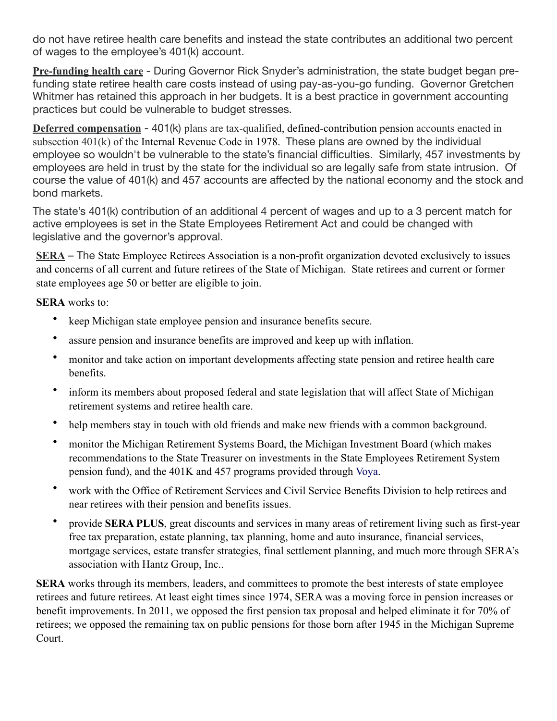do not have retiree health care benefits and instead the state contributes an additional two percent of wages to the employee's 401(k) account.

**Pre-funding health care** - During Governor Rick Snyder's administration, the state budget began prefunding state retiree health care costs instead of using pay-as-you-go funding. Governor Gretchen Whitmer has retained this approach in her budgets. It is a best practice in government accounting practices but could be vulnerable to budget stresses.

**Deferred compensation** - 401(k) plans are tax-qualified, defined-contribution pension accounts enacted in subsection 401(k) of the Internal Revenue Code in 1978. These plans are owned by the individual employee so wouldn't be vulnerable to the state's financial difficulties. Similarly, 457 investments by employees are held in trust by the state for the individual so are legally safe from state intrusion. Of course the value of 401(k) and 457 accounts are affected by the national economy and the stock and bond markets.

The state's 401(k) contribution of an additional 4 percent of wages and up to a 3 percent match for active employees is set in the State Employees Retirement Act and could be changed with legislative and the governor's approval.

**SERA** – The State Employee Retirees Association is a non-profit organization devoted exclusively to issues and concerns of all current and future retirees of the State of Michigan. State retirees and current or former state employees age 50 or better are eligible to join.

**SERA** works to:

- keep Michigan state employee pension and insurance benefits secure.
- assure pension and insurance benefits are improved and keep up with inflation.
- monitor and take action on important developments affecting state pension and retiree health care benefits.
- inform its members about proposed federal and state legislation that will affect State of Michigan retirement systems and retiree health care.
- help members stay in touch with old friends and make new friends with a common background.
- monitor the Michigan Retirement Systems Board, the Michigan Investment Board (which makes recommendations to the State Treasurer on investments in the State Employees Retirement System pension fund), and the 401K and 457 programs provided through Voya.
- work with the Office of Retirement Services and Civil Service Benefits Division to help retirees and near retirees with their pension and benefits issues.
- provide **SERA PLUS**, great discounts and services in many areas of retirement living such as first-year free tax preparation, estate planning, tax planning, home and auto insurance, financial services, mortgage services, estate transfer strategies, final settlement planning, and much more through SERA's association with Hantz Group, Inc..

**SERA** works through its members, leaders, and committees to promote the best interests of state employee retirees and future retirees. At least eight times since 1974, SERA was a moving force in pension increases or benefit improvements. In 2011, we opposed the first pension tax proposal and helped eliminate it for 70% of retirees; we opposed the remaining tax on public pensions for those born after 1945 in the Michigan Supreme Court.